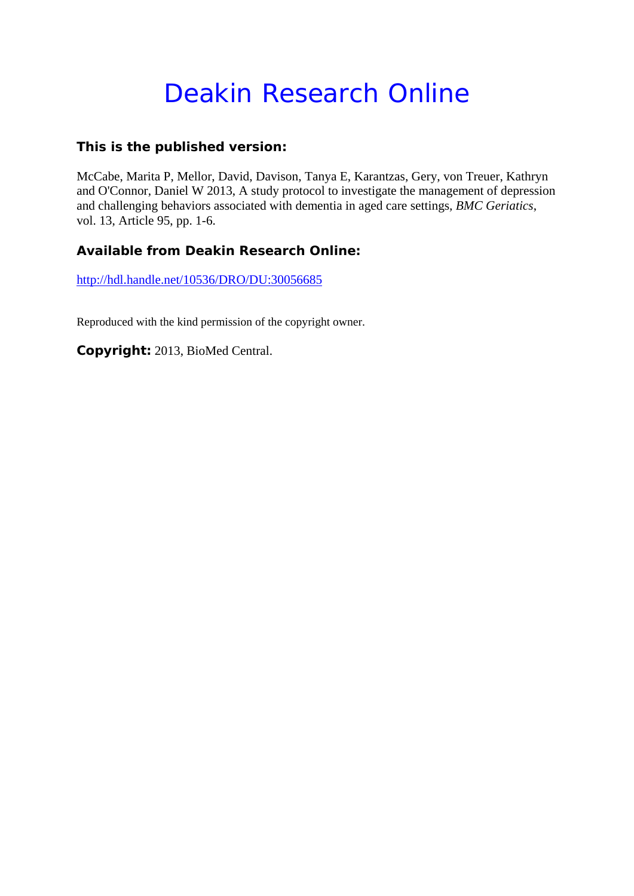# Deakin Research Online

## **This is the published version:**

McCabe, Marita P, Mellor, David, Davison, Tanya E, Karantzas, Gery, von Treuer, Kathryn and O'Connor, Daniel W 2013, A study protocol to investigate the management of depression and challenging behaviors associated with dementia in aged care settings*, BMC Geriatics*, vol. 13, Article 95, pp. 1-6.

## **Available from Deakin Research Online:**

http://hdl.handle.net/10536/DRO/DU:30056685

Reproduced with the kind permission of the copyright owner.

**Copyright:** 2013, BioMed Central.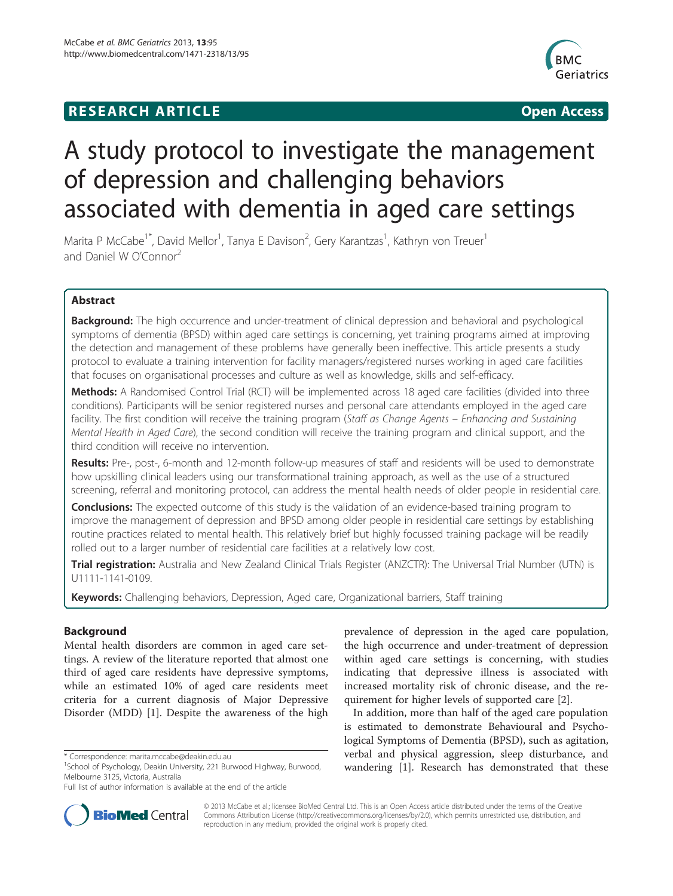# **RESEARCH ARTICLE Example 2014 12:30 The SEAR CHA RTICLE**



# A study protocol to investigate the management of depression and challenging behaviors associated with dementia in aged care settings

Marita P McCabe<sup>1\*</sup>, David Mellor<sup>1</sup>, Tanya E Davison<sup>2</sup>, Gery Karantzas<sup>1</sup>, Kathryn von Treuer<sup>1</sup> and Daniel W O'Connor<sup>2</sup>

## Abstract

**Background:** The high occurrence and under-treatment of clinical depression and behavioral and psychological symptoms of dementia (BPSD) within aged care settings is concerning, yet training programs aimed at improving the detection and management of these problems have generally been ineffective. This article presents a study protocol to evaluate a training intervention for facility managers/registered nurses working in aged care facilities that focuses on organisational processes and culture as well as knowledge, skills and self-efficacy.

Methods: A Randomised Control Trial (RCT) will be implemented across 18 aged care facilities (divided into three conditions). Participants will be senior registered nurses and personal care attendants employed in the aged care facility. The first condition will receive the training program (Staff as Change Agents - Enhancing and Sustaining Mental Health in Aged Care), the second condition will receive the training program and clinical support, and the third condition will receive no intervention.

Results: Pre-, post-, 6-month and 12-month follow-up measures of staff and residents will be used to demonstrate how upskilling clinical leaders using our transformational training approach, as well as the use of a structured screening, referral and monitoring protocol, can address the mental health needs of older people in residential care.

**Conclusions:** The expected outcome of this study is the validation of an evidence-based training program to improve the management of depression and BPSD among older people in residential care settings by establishing routine practices related to mental health. This relatively brief but highly focussed training package will be readily rolled out to a larger number of residential care facilities at a relatively low cost.

Trial registration: Australia and New Zealand Clinical Trials Register (ANZCTR): The Universal Trial Number (UTN) is [U1111-1141-0109.](http://www.ANZCTR.org.au/)

Keywords: Challenging behaviors, Depression, Aged care, Organizational barriers, Staff training

## Background

Mental health disorders are common in aged care settings. A review of the literature reported that almost one third of aged care residents have depressive symptoms, while an estimated 10% of aged care residents meet criteria for a current diagnosis of Major Depressive Disorder (MDD) [\[1\]](#page-6-0). Despite the awareness of the high



In addition, more than half of the aged care population is estimated to demonstrate Behavioural and Psychological Symptoms of Dementia (BPSD), such as agitation, verbal and physical aggression, sleep disturbance, and wandering [\[1](#page-6-0)]. Research has demonstrated that these



© 2013 McCabe et al.; licensee BioMed Central Ltd. This is an Open Access article distributed under the terms of the Creative Commons Attribution License [\(http://creativecommons.org/licenses/by/2.0\)](http://creativecommons.org/licenses/by/2.0), which permits unrestricted use, distribution, and reproduction in any medium, provided the original work is properly cited.

<sup>\*</sup> Correspondence: [marita.mccabe@deakin.edu.au](mailto:marita.mccabe@deakin.edu.au) <sup>1</sup>

<sup>&</sup>lt;sup>1</sup>School of Psychology, Deakin University, 221 Burwood Highway, Burwood, Melbourne 3125, Victoria, Australia

Full list of author information is available at the end of the article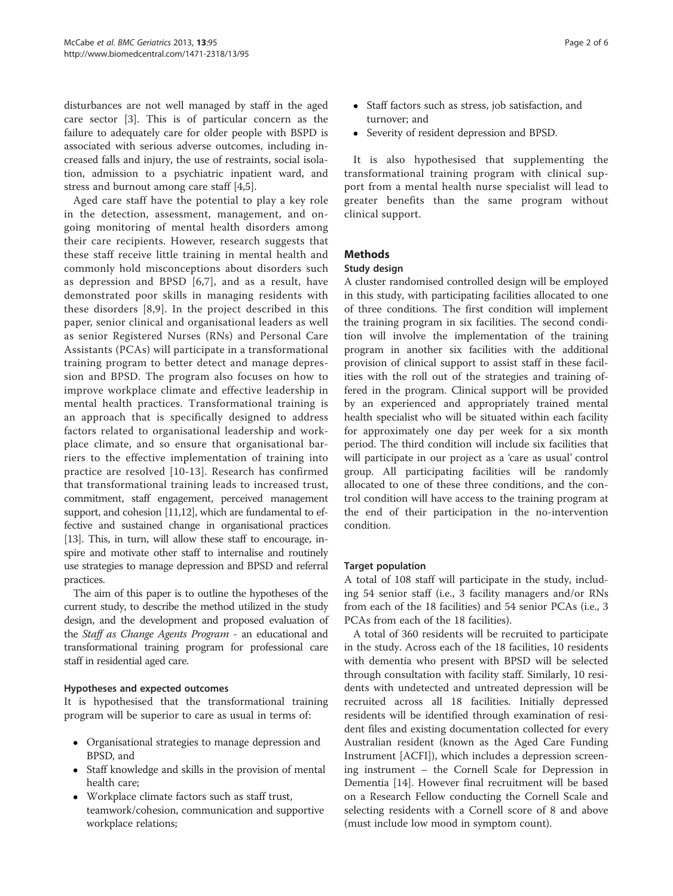disturbances are not well managed by staff in the aged care sector [\[3](#page-6-0)]. This is of particular concern as the failure to adequately care for older people with BSPD is associated with serious adverse outcomes, including increased falls and injury, the use of restraints, social isolation, admission to a psychiatric inpatient ward, and stress and burnout among care staff [\[4,5\]](#page-6-0).

Aged care staff have the potential to play a key role in the detection, assessment, management, and ongoing monitoring of mental health disorders among their care recipients. However, research suggests that these staff receive little training in mental health and commonly hold misconceptions about disorders such as depression and BPSD [[6,7\]](#page-6-0), and as a result, have demonstrated poor skills in managing residents with these disorders [[8,9](#page-6-0)]. In the project described in this paper, senior clinical and organisational leaders as well as senior Registered Nurses (RNs) and Personal Care Assistants (PCAs) will participate in a transformational training program to better detect and manage depression and BPSD. The program also focuses on how to improve workplace climate and effective leadership in mental health practices. Transformational training is an approach that is specifically designed to address factors related to organisational leadership and workplace climate, and so ensure that organisational barriers to the effective implementation of training into practice are resolved [[10-13\]](#page-6-0). Research has confirmed that transformational training leads to increased trust, commitment, staff engagement, perceived management support, and cohesion [[11,12\]](#page-6-0), which are fundamental to effective and sustained change in organisational practices [[13](#page-6-0)]. This, in turn, will allow these staff to encourage, inspire and motivate other staff to internalise and routinely use strategies to manage depression and BPSD and referral practices.

The aim of this paper is to outline the hypotheses of the current study, to describe the method utilized in the study design, and the development and proposed evaluation of the Staff as Change Agents Program - an educational and transformational training program for professional care staff in residential aged care.

#### Hypotheses and expected outcomes

It is hypothesised that the transformational training program will be superior to care as usual in terms of:

- Organisational strategies to manage depression and BPSD, and
- Staff knowledge and skills in the provision of mental health care;
- Workplace climate factors such as staff trust, teamwork/cohesion, communication and supportive workplace relations;
- Staff factors such as stress, job satisfaction, and turnover; and
- Severity of resident depression and BPSD.

It is also hypothesised that supplementing the transformational training program with clinical support from a mental health nurse specialist will lead to greater benefits than the same program without clinical support.

#### **Methods**

#### Study design

A cluster randomised controlled design will be employed in this study, with participating facilities allocated to one of three conditions. The first condition will implement the training program in six facilities. The second condition will involve the implementation of the training program in another six facilities with the additional provision of clinical support to assist staff in these facilities with the roll out of the strategies and training offered in the program. Clinical support will be provided by an experienced and appropriately trained mental health specialist who will be situated within each facility for approximately one day per week for a six month period. The third condition will include six facilities that will participate in our project as a 'care as usual' control group. All participating facilities will be randomly allocated to one of these three conditions, and the control condition will have access to the training program at the end of their participation in the no-intervention condition.

#### Target population

A total of 108 staff will participate in the study, including 54 senior staff (i.e., 3 facility managers and/or RNs from each of the 18 facilities) and 54 senior PCAs (i.e., 3 PCAs from each of the 18 facilities).

A total of 360 residents will be recruited to participate in the study. Across each of the 18 facilities, 10 residents with dementia who present with BPSD will be selected through consultation with facility staff. Similarly, 10 residents with undetected and untreated depression will be recruited across all 18 facilities. Initially depressed residents will be identified through examination of resident files and existing documentation collected for every Australian resident (known as the Aged Care Funding Instrument [ACFI]), which includes a depression screening instrument – the Cornell Scale for Depression in Dementia [\[14](#page-6-0)]. However final recruitment will be based on a Research Fellow conducting the Cornell Scale and selecting residents with a Cornell score of 8 and above (must include low mood in symptom count).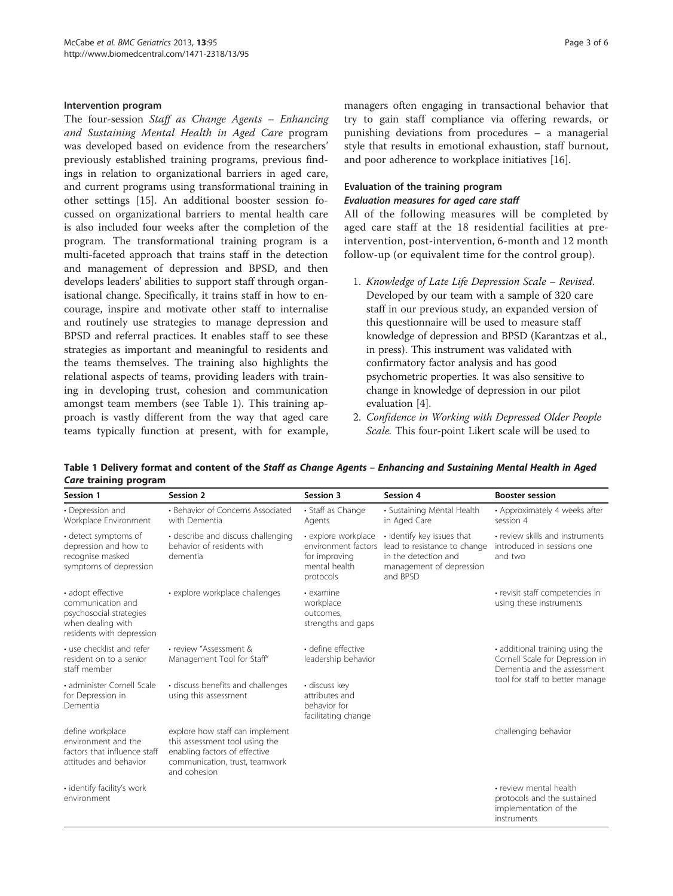#### Intervention program

The four-session Staff as Change Agents – Enhancing and Sustaining Mental Health in Aged Care program was developed based on evidence from the researchers' previously established training programs, previous findings in relation to organizational barriers in aged care, and current programs using transformational training in other settings [[15\]](#page-6-0). An additional booster session focussed on organizational barriers to mental health care is also included four weeks after the completion of the program. The transformational training program is a multi-faceted approach that trains staff in the detection and management of depression and BPSD, and then develops leaders' abilities to support staff through organisational change. Specifically, it trains staff in how to encourage, inspire and motivate other staff to internalise and routinely use strategies to manage depression and BPSD and referral practices. It enables staff to see these strategies as important and meaningful to residents and the teams themselves. The training also highlights the relational aspects of teams, providing leaders with training in developing trust, cohesion and communication amongst team members (see Table 1). This training approach is vastly different from the way that aged care teams typically function at present, with for example,

managers often engaging in transactional behavior that try to gain staff compliance via offering rewards, or punishing deviations from procedures – a managerial style that results in emotional exhaustion, staff burnout, and poor adherence to workplace initiatives [\[16\]](#page-6-0).

#### Evaluation of the training program Evaluation measures for aged care staff

All of the following measures will be completed by aged care staff at the 18 residential facilities at preintervention, post-intervention, 6-month and 12 month follow-up (or equivalent time for the control group).

- 1. Knowledge of Late Life Depression Scale Revised. Developed by our team with a sample of 320 care staff in our previous study, an expanded version of this questionnaire will be used to measure staff knowledge of depression and BPSD (Karantzas et al., in press). This instrument was validated with confirmatory factor analysis and has good psychometric properties. It was also sensitive to change in knowledge of depression in our pilot evaluation [[4](#page-6-0)].
- 2. Confidence in Working with Depressed Older People Scale. This four-point Likert scale will be used to

| <b>Session 1</b>                                                                                                    | Session 2                                                                                                                                            | Session 3                                                                                 | Session 4                                                                                                                  | <b>Booster session</b>                                                                                                               |
|---------------------------------------------------------------------------------------------------------------------|------------------------------------------------------------------------------------------------------------------------------------------------------|-------------------------------------------------------------------------------------------|----------------------------------------------------------------------------------------------------------------------------|--------------------------------------------------------------------------------------------------------------------------------------|
| • Depression and<br>Workplace Environment                                                                           | • Behavior of Concerns Associated<br>with Dementia                                                                                                   | • Staff as Change<br>Agents                                                               | • Sustaining Mental Health<br>in Aged Care                                                                                 | • Approximately 4 weeks after<br>session 4                                                                                           |
| • detect symptoms of<br>depression and how to<br>recognise masked<br>symptoms of depression                         | • describe and discuss challenging<br>behavior of residents with<br>dementia                                                                         | • explore workplace<br>environment factors<br>for improving<br>mental health<br>protocols | • identify key issues that<br>lead to resistance to change<br>in the detection and<br>management of depression<br>and BPSD | • review skills and instruments<br>introduced in sessions one<br>and two                                                             |
| • adopt effective<br>communication and<br>psychosocial strategies<br>when dealing with<br>residents with depression | • explore workplace challenges                                                                                                                       | $\cdot$ examine<br>workplace<br>outcomes.<br>strengths and gaps                           |                                                                                                                            | • revisit staff competencies in<br>using these instruments                                                                           |
| • use checklist and refer<br>resident on to a senior<br>staff member                                                | · review "Assessment &<br>Management Tool for Staff"                                                                                                 | · define effective<br>leadership behavior                                                 |                                                                                                                            | • additional training using the<br>Cornell Scale for Depression in<br>Dementia and the assessment<br>tool for staff to better manage |
| · administer Cornell Scale<br>for Depression in<br>Dementia                                                         | · discuss benefits and challenges<br>using this assessment                                                                                           | • discuss key<br>attributes and<br>behavior for<br>facilitating change                    |                                                                                                                            |                                                                                                                                      |
| define workplace<br>environment and the<br>factors that influence staff<br>attitudes and behavior                   | explore how staff can implement<br>this assessment tool using the<br>enabling factors of effective<br>communication, trust, teamwork<br>and cohesion |                                                                                           |                                                                                                                            | challenging behavior                                                                                                                 |
| · identify facility's work<br>environment                                                                           |                                                                                                                                                      |                                                                                           |                                                                                                                            | • review mental health<br>protocols and the sustained<br>implementation of the<br>instruments                                        |

Table 1 Delivery format and content of the Staff as Change Agents – Enhancing and Sustaining Mental Health in Aged Care training program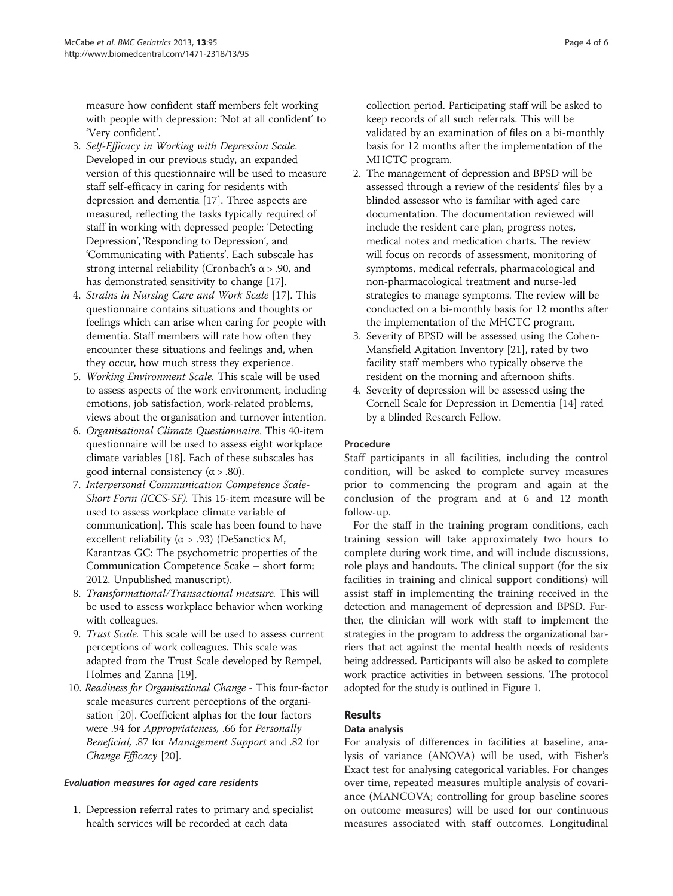measure how confident staff members felt working with people with depression: 'Not at all confident' to 'Very confident'.

- 3. Self-Efficacy in Working with Depression Scale. Developed in our previous study, an expanded version of this questionnaire will be used to measure staff self-efficacy in caring for residents with depression and dementia [[17](#page-6-0)]. Three aspects are measured, reflecting the tasks typically required of staff in working with depressed people: 'Detecting Depression', 'Responding to Depression', and 'Communicating with Patients'. Each subscale has strong internal reliability (Cronbach's  $\alpha$  > .90, and has demonstrated sensitivity to change [[17](#page-6-0)].
- 4. Strains in Nursing Care and Work Scale [\[17\]](#page-6-0). This questionnaire contains situations and thoughts or feelings which can arise when caring for people with dementia. Staff members will rate how often they encounter these situations and feelings and, when they occur, how much stress they experience.
- 5. Working Environment Scale. This scale will be used to assess aspects of the work environment, including emotions, job satisfaction, work-related problems, views about the organisation and turnover intention.
- 6. Organisational Climate Questionnaire. This 40-item questionnaire will be used to assess eight workplace climate variables [\[18\]](#page-6-0). Each of these subscales has good internal consistency ( $α$  > .80).
- 7. Interpersonal Communication Competence Scale-Short Form (ICCS-SF). This 15-item measure will be used to assess workplace climate variable of communication]. This scale has been found to have excellent reliability ( $\alpha$  > .93) (DeSanctics M, Karantzas GC: The psychometric properties of the Communication Competence Scake – short form; 2012. Unpublished manuscript).
- 8. Transformational/Transactional measure. This will be used to assess workplace behavior when working with colleagues.
- 9. Trust Scale. This scale will be used to assess current perceptions of work colleagues. This scale was adapted from the Trust Scale developed by Rempel, Holmes and Zanna [[19](#page-6-0)].
- 10. Readiness for Organisational Change This four-factor scale measures current perceptions of the organisation [\[20\]](#page-6-0). Coefficient alphas for the four factors were .94 for Appropriateness, .66 for Personally Beneficial, .87 for Management Support and .82 for Change Efficacy [\[20](#page-6-0)].

## Evaluation measures for aged care residents

1. Depression referral rates to primary and specialist health services will be recorded at each data

collection period. Participating staff will be asked to keep records of all such referrals. This will be validated by an examination of files on a bi-monthly basis for 12 months after the implementation of the MHCTC program.

- 2. The management of depression and BPSD will be assessed through a review of the residents' files by a blinded assessor who is familiar with aged care documentation. The documentation reviewed will include the resident care plan, progress notes, medical notes and medication charts. The review will focus on records of assessment, monitoring of symptoms, medical referrals, pharmacological and non-pharmacological treatment and nurse-led strategies to manage symptoms. The review will be conducted on a bi-monthly basis for 12 months after the implementation of the MHCTC program.
- 3. Severity of BPSD will be assessed using the Cohen-Mansfield Agitation Inventory [[21\]](#page-6-0), rated by two facility staff members who typically observe the resident on the morning and afternoon shifts.
- 4. Severity of depression will be assessed using the Cornell Scale for Depression in Dementia [\[14\]](#page-6-0) rated by a blinded Research Fellow.

#### Procedure

Staff participants in all facilities, including the control condition, will be asked to complete survey measures prior to commencing the program and again at the conclusion of the program and at 6 and 12 month follow-up.

For the staff in the training program conditions, each training session will take approximately two hours to complete during work time, and will include discussions, role plays and handouts. The clinical support (for the six facilities in training and clinical support conditions) will assist staff in implementing the training received in the detection and management of depression and BPSD. Further, the clinician will work with staff to implement the strategies in the program to address the organizational barriers that act against the mental health needs of residents being addressed. Participants will also be asked to complete work practice activities in between sessions. The protocol adopted for the study is outlined in Figure [1.](#page-5-0)

## Results

## Data analysis

For analysis of differences in facilities at baseline, analysis of variance (ANOVA) will be used, with Fisher's Exact test for analysing categorical variables. For changes over time, repeated measures multiple analysis of covariance (MANCOVA; controlling for group baseline scores on outcome measures) will be used for our continuous measures associated with staff outcomes. Longitudinal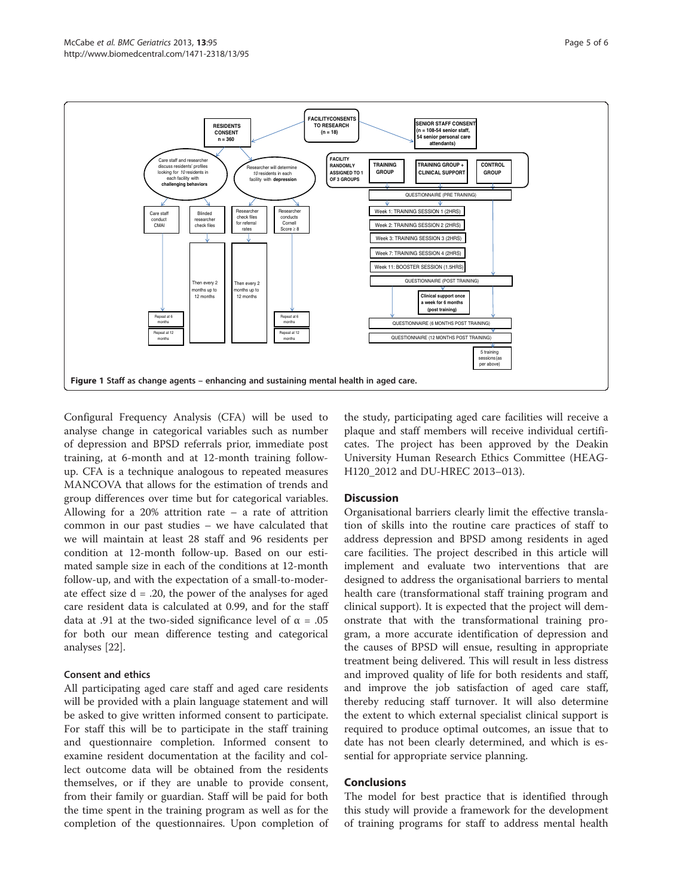<span id="page-5-0"></span>

Configural Frequency Analysis (CFA) will be used to analyse change in categorical variables such as number of depression and BPSD referrals prior, immediate post training, at 6-month and at 12-month training followup. CFA is a technique analogous to repeated measures MANCOVA that allows for the estimation of trends and group differences over time but for categorical variables. Allowing for a  $20\%$  attrition rate – a rate of attrition common in our past studies – we have calculated that we will maintain at least 28 staff and 96 residents per condition at 12-month follow-up. Based on our estimated sample size in each of the conditions at 12-month follow-up, and with the expectation of a small-to-moderate effect size  $d = .20$ , the power of the analyses for aged care resident data is calculated at 0.99, and for the staff data at .91 at the two-sided significance level of  $\alpha = .05$ for both our mean difference testing and categorical analyses [[22\]](#page-6-0).

#### Consent and ethics

All participating aged care staff and aged care residents will be provided with a plain language statement and will be asked to give written informed consent to participate. For staff this will be to participate in the staff training and questionnaire completion. Informed consent to examine resident documentation at the facility and collect outcome data will be obtained from the residents themselves, or if they are unable to provide consent, from their family or guardian. Staff will be paid for both the time spent in the training program as well as for the completion of the questionnaires. Upon completion of the study, participating aged care facilities will receive a plaque and staff members will receive individual certificates. The project has been approved by the Deakin University Human Research Ethics Committee (HEAG-H120\_2012 and DU-HREC 2013–013).

## **Discussion**

Organisational barriers clearly limit the effective translation of skills into the routine care practices of staff to address depression and BPSD among residents in aged care facilities. The project described in this article will implement and evaluate two interventions that are designed to address the organisational barriers to mental health care (transformational staff training program and clinical support). It is expected that the project will demonstrate that with the transformational training program, a more accurate identification of depression and the causes of BPSD will ensue, resulting in appropriate treatment being delivered. This will result in less distress and improved quality of life for both residents and staff, and improve the job satisfaction of aged care staff, thereby reducing staff turnover. It will also determine the extent to which external specialist clinical support is required to produce optimal outcomes, an issue that to date has not been clearly determined, and which is essential for appropriate service planning.

## **Conclusions**

The model for best practice that is identified through this study will provide a framework for the development of training programs for staff to address mental health